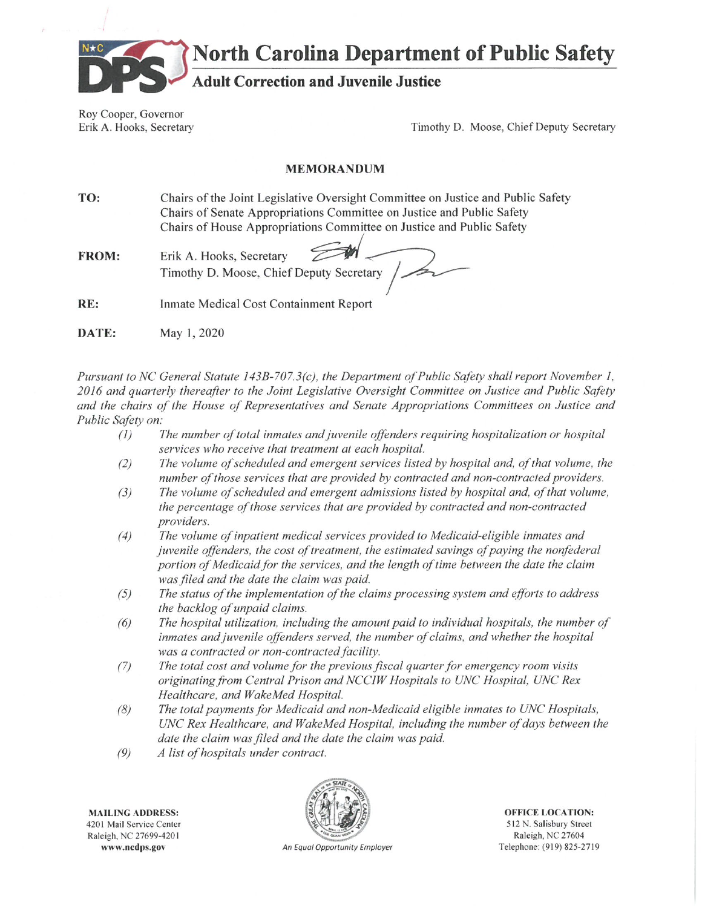

**North Carolina Department of Public Safety** 

# **Adult Correction and Juvenile Justice**

Roy Cooper, Governor Erik A. Hooks, Secretary

Timothy D. Moose, Chief Deputy Secretary

#### **MEMORANDUM**

TO: Chairs of the Joint Legislative Oversight Committee on Justice and Public Safety Chairs of Senate Appropriations Committee on Justice and Public Safety Chairs of House Appropriations Committee on Justice and Public Safety

FROM: Erik A. Hooks, Secretary Timothy D. Moose, Chief Deputy Secretary

RE: Inmate Medical Cost Containment Report

DATE: May 1, 2020

Pursuant to NC General Statute 143B-707.3(c), the Department of Public Safety shall report November 1, 2016 and quarterly thereafter to the Joint Legislative Oversight Committee on Justice and Public Safety and the chairs of the House of Representatives and Senate Appropriations Committees on Justice and Public Safety on:

- $(1)$ The number of total inmates and juvenile offenders requiring hospitalization or hospital services who receive that treatment at each hospital.
- The volume of scheduled and emergent services listed by hospital and, of that volume, the  $(2)$ number of those services that are provided by contracted and non-contracted providers.
- The volume of scheduled and emergent admissions listed by hospital and, of that volume,  $(3)$ the percentage of those services that are provided by contracted and non-contracted providers.
- $(4)$ The volume of inpatient medical services provided to Medicaid-eligible inmates and juvenile offenders, the cost of treatment, the estimated savings of paying the nonfederal portion of Medicaid for the services, and the length of time between the date the claim was filed and the date the claim was paid.
- $(5)$ The status of the implementation of the claims processing system and efforts to address the backlog of unpaid claims.
- The hospital utilization, including the amount paid to individual hospitals, the number of  $(6)$ inmates and juvenile offenders served, the number of claims, and whether the hospital was a contracted or non-contracted facility.
- The total cost and volume for the previous fiscal quarter for emergency room visits  $(7)$ originating from Central Prison and NCCIW Hospitals to UNC Hospital, UNC Rex Healthcare, and WakeMed Hospital.
- The total payments for Medicaid and non-Medicaid eligible inmates to UNC Hospitals,  $(8)$ UNC Rex Healthcare, and WakeMed Hospital, including the number of days between the date the claim was filed and the date the claim was paid.
- $(9)$ A list of hospitals under contract.

**MAILING ADDRESS:** 4201 Mail Service Center Raleigh, NC 27699-4201 www.nedps.gov



**OFFICE LOCATION:** 512 N. Salisbury Street Raleigh, NC 27604 Telephone: (919) 825-2719

An Equal Opportunity Employer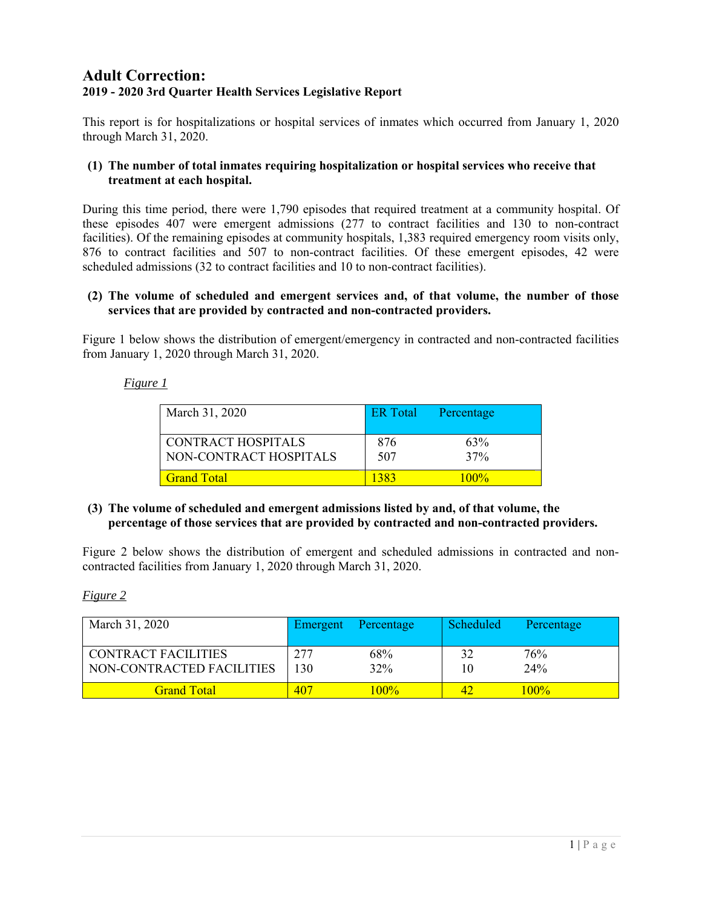### **Adult Correction: 2019 - 2020 3rd Quarter Health Services Legislative Report**

This report is for hospitalizations or hospital services of inmates which occurred from January 1, 2020 through March 31, 2020.

#### **(1) The number of total inmates requiring hospitalization or hospital services who receive that treatment at each hospital.**

During this time period, there were 1,790 episodes that required treatment at a community hospital. Of these episodes 407 were emergent admissions (277 to contract facilities and 130 to non-contract facilities). Of the remaining episodes at community hospitals, 1,383 required emergency room visits only, 876 to contract facilities and 507 to non-contract facilities. Of these emergent episodes, 42 were scheduled admissions (32 to contract facilities and 10 to non-contract facilities).

#### **(2) The volume of scheduled and emergent services and, of that volume, the number of those services that are provided by contracted and non-contracted providers.**

Figure 1 below shows the distribution of emergent/emergency in contracted and non-contracted facilities from January 1, 2020 through March 31, 2020.

#### *Figure 1*

| March 31, 2020                               | <b>ER</b> Total | Percentage |
|----------------------------------------------|-----------------|------------|
| CONTRACT HOSPITALS<br>NON-CONTRACT HOSPITALS | 876<br>507      | 63%<br>37% |
| <b>Grand Total</b>                           | 1383            | $100\%$    |

#### **(3) The volume of scheduled and emergent admissions listed by and, of that volume, the percentage of those services that are provided by contracted and non-contracted providers.**

Figure 2 below shows the distribution of emergent and scheduled admissions in contracted and noncontracted facilities from January 1, 2020 through March 31, 2020.

#### *Figure 2*

| March 31, 2020                                          | Emergent   | Percentage | Scheduled | Percentage |
|---------------------------------------------------------|------------|------------|-----------|------------|
| <b>CONTRACT FACILITIES</b><br>NON-CONTRACTED FACILITIES | 277<br>130 | 68%<br>32% | 10        | 76%<br>24% |
| <b>Grand Total</b>                                      | 407        | $100\%$    | ΔD        | $100\%$    |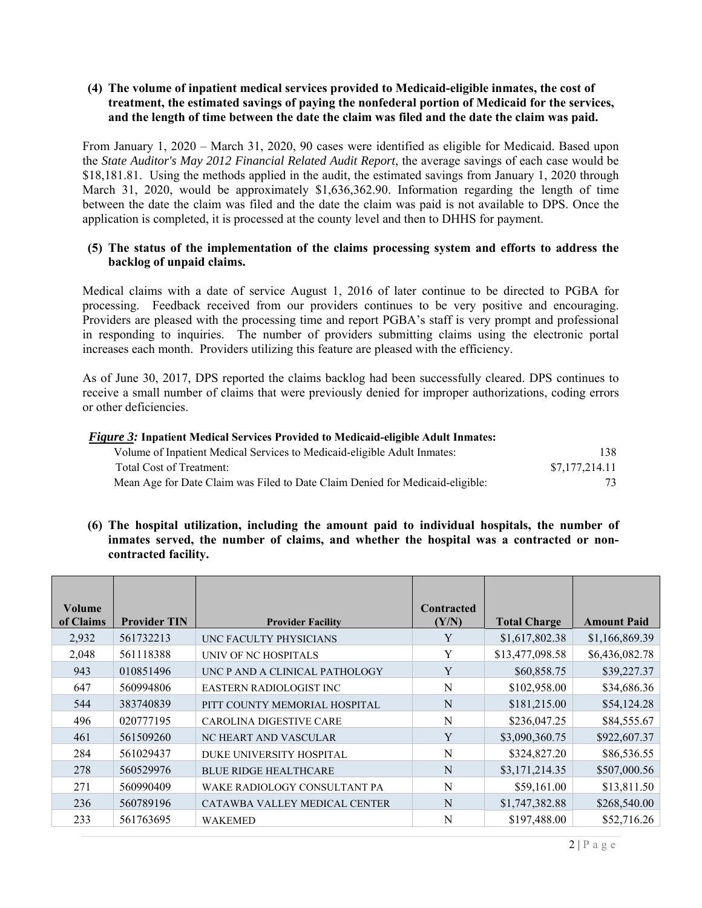#### **(4) The volume of inpatient medical services provided to Medicaid-eligible inmates, the cost of treatment, the estimated savings of paying the nonfederal portion of Medicaid for the services, and the length of time between the date the claim was filed and the date the claim was paid.**

From January 1, 2020 – March 31, 2020, 90 cases were identified as eligible for Medicaid. Based upon the *State Auditor's May 2012 Financial Related Audit Report*, the average savings of each case would be \$18,181.81. Using the methods applied in the audit, the estimated savings from January 1, 2020 through March 31, 2020, would be approximately \$1,636,362.90. Information regarding the length of time between the date the claim was filed and the date the claim was paid is not available to DPS. Once the application is completed, it is processed at the county level and then to DHHS for payment.

#### **(5) The status of the implementation of the claims processing system and efforts to address the backlog of unpaid claims.**

Medical claims with a date of service August 1, 2016 of later continue to be directed to PGBA for processing. Feedback received from our providers continues to be very positive and encouraging. Providers are pleased with the processing time and report PGBA's staff is very prompt and professional in responding to inquiries. The number of providers submitting claims using the electronic portal increases each month. Providers utilizing this feature are pleased with the efficiency.

As of June 30, 2017, DPS reported the claims backlog had been successfully cleared. DPS continues to receive a small number of claims that were previously denied for improper authorizations, coding errors or other deficiencies.

| <i>Figure 3:</i> Inpatient Medical Services Provided to Medicaid-eligible Adult Inmates: |                |
|------------------------------------------------------------------------------------------|----------------|
| Volume of Inpatient Medical Services to Medicaid-eligible Adult Inmates:                 | 138.           |
| Total Cost of Treatment:                                                                 | \$7,177,214.11 |
| Mean Age for Date Claim was Filed to Date Claim Denied for Medicaid-eligible:            | 73.            |

#### **(6) The hospital utilization, including the amount paid to individual hospitals, the number of inmates served, the number of claims, and whether the hospital was a contracted or noncontracted facility.**

| Volume<br>of Claims | <b>Provider TIN</b> | <b>Provider Facility</b>       | <b>Contracted</b><br>(Y/N) | <b>Total Charge</b> | <b>Amount Paid</b> |
|---------------------|---------------------|--------------------------------|----------------------------|---------------------|--------------------|
| 2,932               | 561732213           | UNC FACULTY PHYSICIANS         | Y                          | \$1,617,802.38      | \$1,166,869.39     |
| 2,048               | 561118388           | UNIV OF NC HOSPITALS           | Y                          | \$13,477,098.58     | \$6,436,082.78     |
| 943                 | 010851496           | UNC P AND A CLINICAL PATHOLOGY | Y                          | \$60,858.75         | \$39,227.37        |
| 647                 | 560994806           | <b>EASTERN RADIOLOGIST INC</b> | N                          | \$102,958.00        | \$34,686.36        |
| 544                 | 383740839           | PITT COUNTY MEMORIAL HOSPITAL  | N                          | \$181,215.00        | \$54,124.28        |
| 496                 | 020777195           | <b>CAROLINA DIGESTIVE CARE</b> | N                          | \$236,047.25        | \$84,555.67        |
| 461                 | 561509260           | NC HEART AND VASCULAR          | Y                          | \$3,090,360.75      | \$922,607.37       |
| 284                 | 561029437           | DUKE UNIVERSITY HOSPITAL       | N                          | \$324,827.20        | \$86,536.55        |
| 278                 | 560529976           | <b>BLUE RIDGE HEALTHCARE</b>   | N                          | \$3,171,214.35      | \$507,000.56       |
| 271                 | 560990409           | WAKE RADIOLOGY CONSULTANT PA   | N                          | \$59,161.00         | \$13,811.50        |
| 236                 | 560789196           | CATAWBA VALLEY MEDICAL CENTER  | N                          | \$1,747,382.88      | \$268,540.00       |
| 233                 | 561763695           | <b>WAKEMED</b>                 | N                          | \$197,488.00        | \$52,716.26        |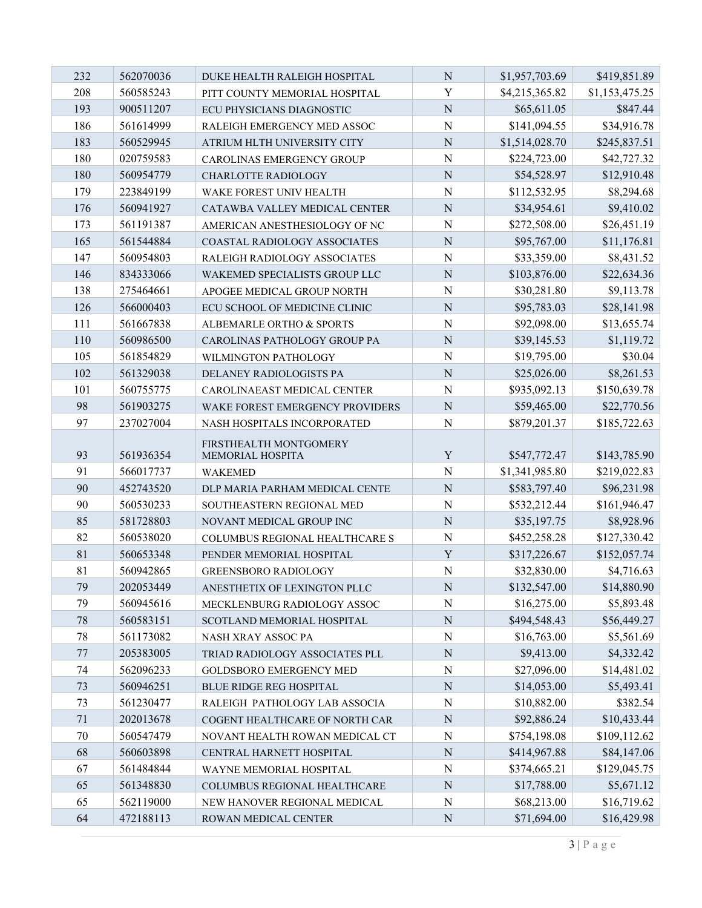| 232 | 562070036 | DUKE HEALTH RALEIGH HOSPITAL    | $\mathbf N$    | \$1,957,703.69 | \$419,851.89   |
|-----|-----------|---------------------------------|----------------|----------------|----------------|
| 208 | 560585243 | PITT COUNTY MEMORIAL HOSPITAL   | Y              | \$4,215,365.82 | \$1,153,475.25 |
| 193 | 900511207 | ECU PHYSICIANS DIAGNOSTIC       | $\mathbf N$    | \$65,611.05    | \$847.44       |
| 186 | 561614999 | RALEIGH EMERGENCY MED ASSOC     | $\mathbf N$    | \$141,094.55   | \$34,916.78    |
| 183 | 560529945 | ATRIUM HLTH UNIVERSITY CITY     | $\mathbf N$    | \$1,514,028.70 | \$245,837.51   |
| 180 | 020759583 | CAROLINAS EMERGENCY GROUP       | N              | \$224,723.00   | \$42,727.32    |
| 180 | 560954779 | CHARLOTTE RADIOLOGY             | $\mathbf N$    | \$54,528.97    | \$12,910.48    |
| 179 | 223849199 | WAKE FOREST UNIV HEALTH         | $\mathbf N$    | \$112,532.95   | \$8,294.68     |
| 176 | 560941927 | CATAWBA VALLEY MEDICAL CENTER   | $\overline{N}$ | \$34,954.61    | \$9,410.02     |
| 173 | 561191387 | AMERICAN ANESTHESIOLOGY OF NC   | $\mathbf N$    | \$272,508.00   | \$26,451.19    |
| 165 | 561544884 | COASTAL RADIOLOGY ASSOCIATES    | $\mathbf N$    | \$95,767.00    | \$11,176.81    |
| 147 | 560954803 | RALEIGH RADIOLOGY ASSOCIATES    | $\mathbf N$    | \$33,359.00    | \$8,431.52     |
| 146 | 834333066 | WAKEMED SPECIALISTS GROUP LLC   | $\mathbf N$    | \$103,876.00   | \$22,634.36    |
| 138 | 275464661 | APOGEE MEDICAL GROUP NORTH      | $\mathbf N$    | \$30,281.80    | \$9,113.78     |
| 126 | 566000403 | ECU SCHOOL OF MEDICINE CLINIC   | $\mathbf N$    | \$95,783.03    | \$28,141.98    |
| 111 | 561667838 | ALBEMARLE ORTHO & SPORTS        | N              | \$92,098.00    | \$13,655.74    |
| 110 | 560986500 | CAROLINAS PATHOLOGY GROUP PA    | $\mathbf N$    | \$39,145.53    | \$1,119.72     |
| 105 | 561854829 | WILMINGTON PATHOLOGY            | $\mathbf N$    | \$19,795.00    | \$30.04        |
| 102 | 561329038 | DELANEY RADIOLOGISTS PA         | $\overline{N}$ | \$25,026.00    | \$8,261.53     |
| 101 | 560755775 | CAROLINAEAST MEDICAL CENTER     | $\mathbf N$    | \$935,092.13   | \$150,639.78   |
| 98  | 561903275 | WAKE FOREST EMERGENCY PROVIDERS | $\mathbf N$    | \$59,465.00    | \$22,770.56    |
| 97  | 237027004 | NASH HOSPITALS INCORPORATED     | $\mathbf N$    | \$879,201.37   | \$185,722.63   |
|     |           | FIRSTHEALTH MONTGOMERY          |                |                |                |
| 93  | 561936354 | MEMORIAL HOSPITA                | $\mathbf Y$    | \$547,772.47   | \$143,785.90   |
| 91  | 566017737 | <b>WAKEMED</b>                  | N              | \$1,341,985.80 | \$219,022.83   |
| 90  | 452743520 | DLP MARIA PARHAM MEDICAL CENTE  | N              | \$583,797.40   | \$96,231.98    |
| 90  | 560530233 | SOUTHEASTERN REGIONAL MED       | N              | \$532,212.44   | \$161,946.47   |
| 85  | 581728803 | NOVANT MEDICAL GROUP INC        | $\mathbf N$    | \$35,197.75    | \$8,928.96     |
| 82  | 560538020 | COLUMBUS REGIONAL HEALTHCARE S  | $\mathbf N$    | \$452,258.28   | \$127,330.42   |
| 81  | 560653348 | PENDER MEMORIAL HOSPITAL        | $\mathbf Y$    | \$317,226.67   | \$152,057.74   |
| 81  | 560942865 | <b>GREENSBORO RADIOLOGY</b>     | $\mathbf N$    | \$32,830.00    | \$4,716.63     |
| 79  | 202053449 | ANESTHETIX OF LEXINGTON PLLC    | ${\bf N}$      | \$132,547.00   | \$14,880.90    |
| 79  | 560945616 | MECKLENBURG RADIOLOGY ASSOC     | N              | \$16,275.00    | \$5,893.48     |
| 78  | 560583151 | SCOTLAND MEMORIAL HOSPITAL      | ${\bf N}$      | \$494,548.43   | \$56,449.27    |
| 78  | 561173082 | NASH XRAY ASSOC PA              | N              | \$16,763.00    | \$5,561.69     |
| 77  | 205383005 | TRIAD RADIOLOGY ASSOCIATES PLL  | $\mathbf N$    | \$9,413.00     | \$4,332.42     |
| 74  | 562096233 | <b>GOLDSBORO EMERGENCY MED</b>  | $\mathbf N$    | \$27,096.00    | \$14,481.02    |
| 73  | 560946251 | <b>BLUE RIDGE REG HOSPITAL</b>  | N              | \$14,053.00    | \$5,493.41     |
| 73  | 561230477 | RALEIGH PATHOLOGY LAB ASSOCIA   | $\mathbf N$    | \$10,882.00    | \$382.54       |
| 71  | 202013678 | COGENT HEALTHCARE OF NORTH CAR  | $\mathbf N$    | \$92,886.24    | \$10,433.44    |
| 70  | 560547479 | NOVANT HEALTH ROWAN MEDICAL CT  | N              | \$754,198.08   | \$109,112.62   |
| 68  | 560603898 | CENTRAL HARNETT HOSPITAL        | ${\bf N}$      | \$414,967.88   | \$84,147.06    |
| 67  | 561484844 | WAYNE MEMORIAL HOSPITAL         | N              | \$374,665.21   | \$129,045.75   |
| 65  | 561348830 | COLUMBUS REGIONAL HEALTHCARE    | ${\bf N}$      | \$17,788.00    | \$5,671.12     |
| 65  | 562119000 | NEW HANOVER REGIONAL MEDICAL    | N              | \$68,213.00    | \$16,719.62    |
| 64  | 472188113 | ROWAN MEDICAL CENTER            | ${\bf N}$      | \$71,694.00    | \$16,429.98    |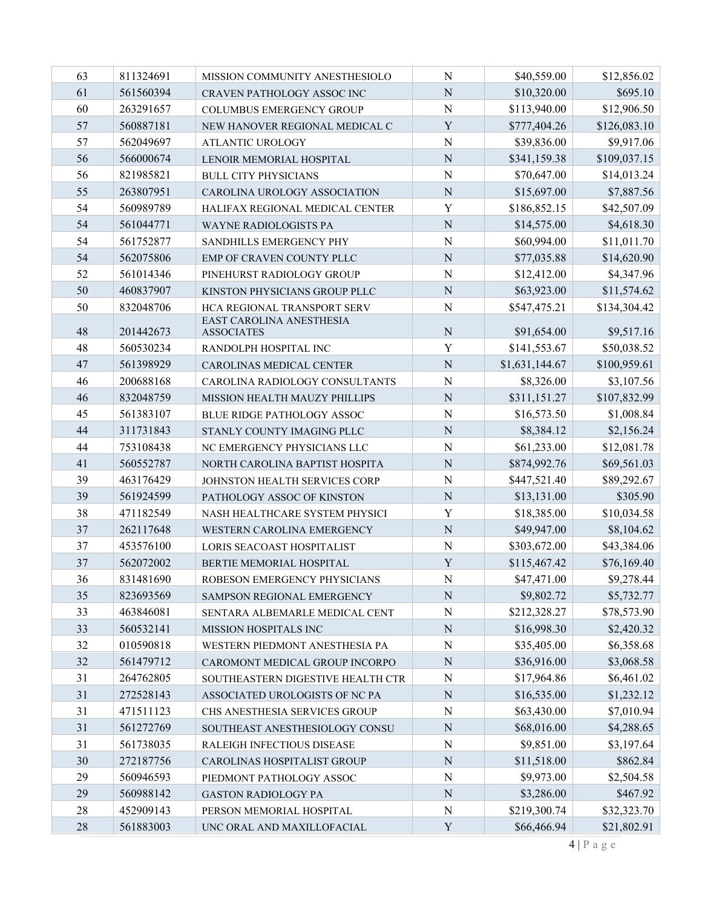| 63 | 811324691 | MISSION COMMUNITY ANESTHESIOLO                | N              | \$40,559.00    | \$12,856.02  |
|----|-----------|-----------------------------------------------|----------------|----------------|--------------|
| 61 | 561560394 | CRAVEN PATHOLOGY ASSOC INC                    | N              | \$10,320.00    | \$695.10     |
| 60 | 263291657 | COLUMBUS EMERGENCY GROUP                      | N              | \$113,940.00   | \$12,906.50  |
| 57 | 560887181 | NEW HANOVER REGIONAL MEDICAL C                | Y              | \$777,404.26   | \$126,083.10 |
| 57 | 562049697 | <b>ATLANTIC UROLOGY</b>                       | $\mathbf N$    | \$39,836.00    | \$9,917.06   |
| 56 | 566000674 | LENOIR MEMORIAL HOSPITAL                      | ${\bf N}$      | \$341,159.38   | \$109,037.15 |
| 56 | 821985821 | <b>BULL CITY PHYSICIANS</b>                   | N              | \$70,647.00    | \$14,013.24  |
| 55 | 263807951 | CAROLINA UROLOGY ASSOCIATION                  | $\mathbf N$    | \$15,697.00    | \$7,887.56   |
| 54 | 560989789 | HALIFAX REGIONAL MEDICAL CENTER               | Y              | \$186,852.15   | \$42,507.09  |
| 54 | 561044771 | <b>WAYNE RADIOLOGISTS PA</b>                  | $\overline{N}$ | \$14,575.00    | \$4,618.30   |
| 54 | 561752877 | SANDHILLS EMERGENCY PHY                       | N              | \$60,994.00    | \$11,011.70  |
| 54 | 562075806 | EMP OF CRAVEN COUNTY PLLC                     | $\overline{N}$ | \$77,035.88    | \$14,620.90  |
| 52 | 561014346 | PINEHURST RADIOLOGY GROUP                     | N              | \$12,412.00    | \$4,347.96   |
| 50 | 460837907 | KINSTON PHYSICIANS GROUP PLLC                 | ${\bf N}$      | \$63,923.00    | \$11,574.62  |
| 50 | 832048706 | HCA REGIONAL TRANSPORT SERV                   | N              | \$547,475.21   | \$134,304.42 |
| 48 | 201442673 | EAST CAROLINA ANESTHESIA<br><b>ASSOCIATES</b> | ${\bf N}$      | \$91,654.00    | \$9,517.16   |
| 48 | 560530234 | RANDOLPH HOSPITAL INC                         | Y              | \$141,553.67   | \$50,038.52  |
| 47 | 561398929 | CAROLINAS MEDICAL CENTER                      | $\mathbf N$    | \$1,631,144.67 | \$100,959.61 |
| 46 | 200688168 | CAROLINA RADIOLOGY CONSULTANTS                | $\overline{N}$ | \$8,326.00     | \$3,107.56   |
| 46 | 832048759 | MISSION HEALTH MAUZY PHILLIPS                 | $\mathbf N$    | \$311,151.27   | \$107,832.99 |
| 45 | 561383107 | BLUE RIDGE PATHOLOGY ASSOC                    | $\mathbf N$    | \$16,573.50    | \$1,008.84   |
| 44 | 311731843 | STANLY COUNTY IMAGING PLLC                    | ${\bf N}$      | \$8,384.12     | \$2,156.24   |
| 44 | 753108438 | NC EMERGENCY PHYSICIANS LLC                   | N              | \$61,233.00    | \$12,081.78  |
| 41 | 560552787 | NORTH CAROLINA BAPTIST HOSPITA                | $\overline{N}$ | \$874,992.76   | \$69,561.03  |
| 39 | 463176429 | JOHNSTON HEALTH SERVICES CORP                 | N              | \$447,521.40   | \$89,292.67  |
| 39 | 561924599 | PATHOLOGY ASSOC OF KINSTON                    | ${\bf N}$      | \$13,131.00    | \$305.90     |
| 38 | 471182549 | NASH HEALTHCARE SYSTEM PHYSICI                | Y              | \$18,385.00    | \$10,034.58  |
| 37 | 262117648 | WESTERN CAROLINA EMERGENCY                    | $\mathbf N$    | \$49,947.00    | \$8,104.62   |
| 37 | 453576100 | LORIS SEACOAST HOSPITALIST                    | $\overline{N}$ | \$303,672.00   | \$43,384.06  |
| 37 | 562072002 | BERTIE MEMORIAL HOSPITAL                      | Y              | \$115,467.42   | \$76,169.40  |
| 36 | 831481690 | ROBESON EMERGENCY PHYSICIANS                  | ${\bf N}$      | \$47,471.00    | \$9,278.44   |
| 35 | 823693569 | SAMPSON REGIONAL EMERGENCY                    | N              | \$9,802.72     | \$5,732.77   |
| 33 | 463846081 | SENTARA ALBEMARLE MEDICAL CENT                | N              | \$212,328.27   | \$78,573.90  |
| 33 | 560532141 | MISSION HOSPITALS INC                         | ${\bf N}$      | \$16,998.30    | \$2,420.32   |
| 32 | 010590818 | WESTERN PIEDMONT ANESTHESIA PA                | ${\bf N}$      | \$35,405.00    | \$6,358.68   |
| 32 | 561479712 | CAROMONT MEDICAL GROUP INCORPO                | N              | \$36,916.00    | \$3,068.58   |
| 31 | 264762805 | SOUTHEASTERN DIGESTIVE HEALTH CTR             | N              | \$17,964.86    | \$6,461.02   |
| 31 | 272528143 | ASSOCIATED UROLOGISTS OF NC PA                | ${\bf N}$      | \$16,535.00    | \$1,232.12   |
| 31 | 471511123 | CHS ANESTHESIA SERVICES GROUP                 | ${\bf N}$      | \$63,430.00    | \$7,010.94   |
| 31 | 561272769 | SOUTHEAST ANESTHESIOLOGY CONSU                | ${\bf N}$      | \$68,016.00    | \$4,288.65   |
| 31 | 561738035 | RALEIGH INFECTIOUS DISEASE                    | N              | \$9,851.00     | \$3,197.64   |
| 30 | 272187756 | CAROLINAS HOSPITALIST GROUP                   | ${\bf N}$      | \$11,518.00    | \$862.84     |
| 29 | 560946593 | PIEDMONT PATHOLOGY ASSOC                      | N              | \$9,973.00     | \$2,504.58   |
| 29 | 560988142 | <b>GASTON RADIOLOGY PA</b>                    | ${\bf N}$      | \$3,286.00     | \$467.92     |
| 28 | 452909143 | PERSON MEMORIAL HOSPITAL                      | ${\bf N}$      | \$219,300.74   | \$32,323.70  |
| 28 | 561883003 | UNC ORAL AND MAXILLOFACIAL                    | $\mathbf Y$    | \$66,466.94    | \$21,802.91  |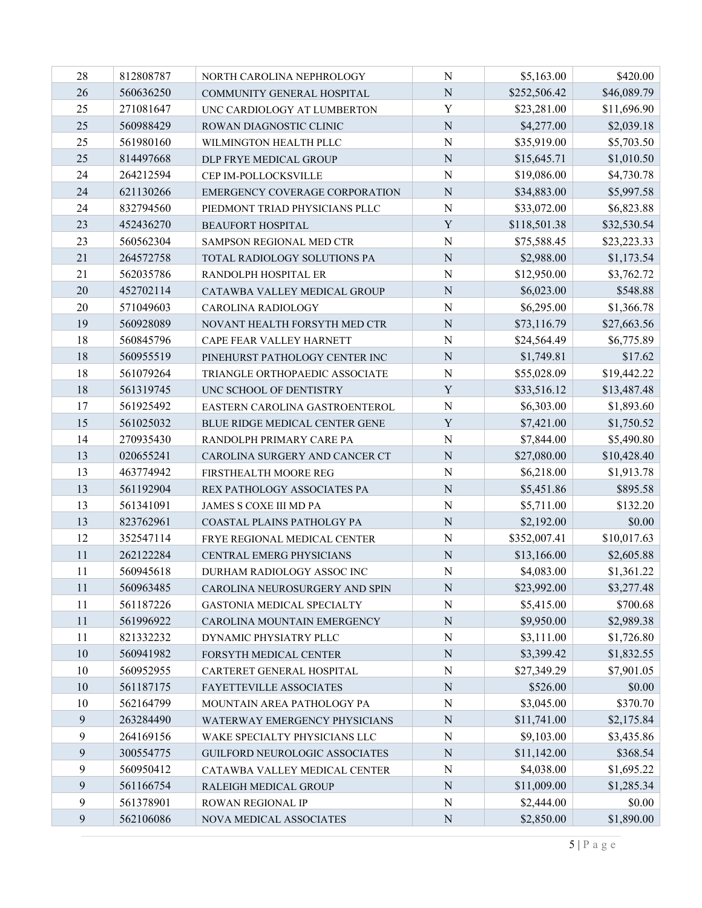| 28             | 812808787 | NORTH CAROLINA NEPHROLOGY      | ${\bf N}$      | \$5,163.00   | \$420.00    |
|----------------|-----------|--------------------------------|----------------|--------------|-------------|
| 26             | 560636250 | COMMUNITY GENERAL HOSPITAL     | $\mathbf N$    | \$252,506.42 | \$46,089.79 |
| 25             | 271081647 | UNC CARDIOLOGY AT LUMBERTON    | Y              | \$23,281.00  | \$11,696.90 |
| 25             | 560988429 | ROWAN DIAGNOSTIC CLINIC        | $\overline{N}$ | \$4,277.00   | \$2,039.18  |
| 25             | 561980160 | WILMINGTON HEALTH PLLC         | N              | \$35,919.00  | \$5,703.50  |
| 25             | 814497668 | DLP FRYE MEDICAL GROUP         | ${\bf N}$      | \$15,645.71  | \$1,010.50  |
| 24             | 264212594 | CEP IM-POLLOCKSVILLE           | $\mathbf N$    | \$19,086.00  | \$4,730.78  |
| 24             | 621130266 | EMERGENCY COVERAGE CORPORATION | $\mathbf N$    | \$34,883.00  | \$5,997.58  |
| 24             | 832794560 | PIEDMONT TRIAD PHYSICIANS PLLC | $\mathbf N$    | \$33,072.00  | \$6,823.88  |
| 23             | 452436270 | <b>BEAUFORT HOSPITAL</b>       | Y              | \$118,501.38 | \$32,530.54 |
| 23             | 560562304 | SAMPSON REGIONAL MED CTR       | ${\bf N}$      | \$75,588.45  | \$23,223.33 |
| 21             | 264572758 | TOTAL RADIOLOGY SOLUTIONS PA   | $\mathbf N$    | \$2,988.00   | \$1,173.54  |
| 21             | 562035786 | RANDOLPH HOSPITAL ER           | N              | \$12,950.00  | \$3,762.72  |
| 20             | 452702114 | CATAWBA VALLEY MEDICAL GROUP   | $\overline{N}$ | \$6,023.00   | \$548.88    |
| 20             | 571049603 | CAROLINA RADIOLOGY             | N              | \$6,295.00   | \$1,366.78  |
| 19             | 560928089 | NOVANT HEALTH FORSYTH MED CTR  | ${\bf N}$      | \$73,116.79  | \$27,663.56 |
| 18             | 560845796 | CAPE FEAR VALLEY HARNETT       | $\mathbf N$    | \$24,564.49  | \$6,775.89  |
| 18             | 560955519 | PINEHURST PATHOLOGY CENTER INC | $\mathbf N$    | \$1,749.81   | \$17.62     |
| 18             | 561079264 | TRIANGLE ORTHOPAEDIC ASSOCIATE | $\overline{N}$ | \$55,028.09  | \$19,442.22 |
| 18             | 561319745 | UNC SCHOOL OF DENTISTRY        | Y              | \$33,516.12  | \$13,487.48 |
| 17             | 561925492 | EASTERN CAROLINA GASTROENTEROL | ${\bf N}$      | \$6,303.00   | \$1,893.60  |
| 15             | 561025032 | BLUE RIDGE MEDICAL CENTER GENE | Y              | \$7,421.00   | \$1,750.52  |
| 14             | 270935430 | RANDOLPH PRIMARY CARE PA       | N              | \$7,844.00   | \$5,490.80  |
| 13             | 020655241 | CAROLINA SURGERY AND CANCER CT | $\overline{N}$ | \$27,080.00  | \$10,428.40 |
| 13             | 463774942 | FIRSTHEALTH MOORE REG          | N              | \$6,218.00   | \$1,913.78  |
| 13             | 561192904 | REX PATHOLOGY ASSOCIATES PA    | ${\bf N}$      | \$5,451.86   | \$895.58    |
| 13             | 561341091 | JAMES S COXE III MD PA         | $\mathbf N$    | \$5,711.00   | \$132.20    |
| 13             | 823762961 | COASTAL PLAINS PATHOLGY PA     | N              | \$2,192.00   | \$0.00      |
| 12             | 352547114 | FRYE REGIONAL MEDICAL CENTER   | ${\bf N}$      | \$352,007.41 | \$10,017.63 |
| 11             | 262122284 | CENTRAL EMERG PHYSICIANS       | $\mathbf N$    | \$13,166.00  | \$2,605.88  |
| 11             | 560945618 | DURHAM RADIOLOGY ASSOC INC     | ${\bf N}$      | \$4,083.00   | \$1,361.22  |
| 11             | 560963485 | CAROLINA NEUROSURGERY AND SPIN | ${\bf N}$      | \$23,992.00  | \$3,277.48  |
| 11             | 561187226 | GASTONIA MEDICAL SPECIALTY     | N              | \$5,415.00   | \$700.68    |
| 11             | 561996922 | CAROLINA MOUNTAIN EMERGENCY    | ${\bf N}$      | \$9,950.00   | \$2,989.38  |
| 11             | 821332232 | DYNAMIC PHYSIATRY PLLC         | ${\bf N}$      | \$3,111.00   | \$1,726.80  |
| 10             | 560941982 | FORSYTH MEDICAL CENTER         | ${\bf N}$      | \$3,399.42   | \$1,832.55  |
| 10             | 560952955 | CARTERET GENERAL HOSPITAL      | ${\bf N}$      | \$27,349.29  | \$7,901.05  |
| 10             | 561187175 | FAYETTEVILLE ASSOCIATES        | N              | \$526.00     | \$0.00      |
| 10             | 562164799 | MOUNTAIN AREA PATHOLOGY PA     | ${\bf N}$      | \$3,045.00   | \$370.70    |
| 9              | 263284490 | WATERWAY EMERGENCY PHYSICIANS  | ${\bf N}$      | \$11,741.00  | \$2,175.84  |
| 9              | 264169156 | WAKE SPECIALTY PHYSICIANS LLC  | ${\bf N}$      | \$9,103.00   | \$3,435.86  |
| 9              | 300554775 | GUILFORD NEUROLOGIC ASSOCIATES | ${\bf N}$      | \$11,142.00  | \$368.54    |
| 9              | 560950412 | CATAWBA VALLEY MEDICAL CENTER  | N              | \$4,038.00   | \$1,695.22  |
| 9              | 561166754 | RALEIGH MEDICAL GROUP          | ${\bf N}$      | \$11,009.00  | \$1,285.34  |
| $\overline{9}$ | 561378901 | ROWAN REGIONAL IP              | N              | \$2,444.00   | \$0.00      |
| $\overline{9}$ | 562106086 | NOVA MEDICAL ASSOCIATES        | ${\bf N}$      | \$2,850.00   | \$1,890.00  |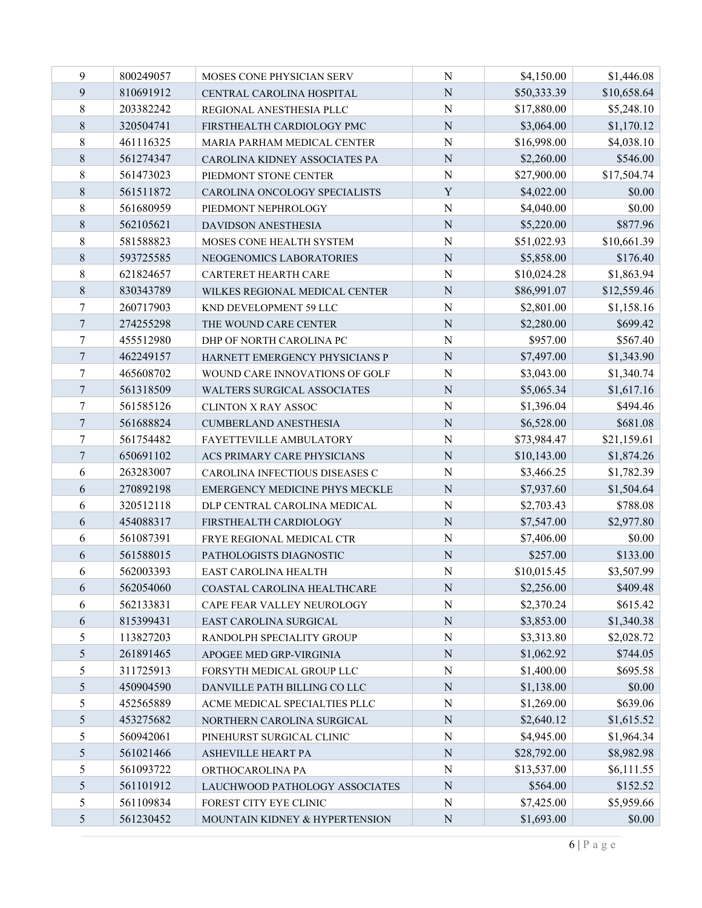| 9                | 800249057 | MOSES CONE PHYSICIAN SERV          | N              | \$4,150.00  | \$1,446.08  |
|------------------|-----------|------------------------------------|----------------|-------------|-------------|
| 9                | 810691912 | CENTRAL CAROLINA HOSPITAL          | $\mathbf N$    | \$50,333.39 | \$10,658.64 |
| 8                | 203382242 | REGIONAL ANESTHESIA PLLC           | N              | \$17,880.00 | \$5,248.10  |
| 8                | 320504741 | FIRSTHEALTH CARDIOLOGY PMC         | $\overline{N}$ | \$3,064.00  | \$1,170.12  |
| $8\,$            | 461116325 | MARIA PARHAM MEDICAL CENTER        | N              | \$16,998.00 | \$4,038.10  |
| $8\,$            | 561274347 | CAROLINA KIDNEY ASSOCIATES PA      | N              | \$2,260.00  | \$546.00    |
| $8\,$            | 561473023 | PIEDMONT STONE CENTER              | N              | \$27,900.00 | \$17,504.74 |
| $\,8\,$          | 561511872 | CAROLINA ONCOLOGY SPECIALISTS      | $\mathbf Y$    | \$4,022.00  | \$0.00      |
| 8                | 561680959 | PIEDMONT NEPHROLOGY                | N              | \$4,040.00  | \$0.00      |
| 8                | 562105621 | <b>DAVIDSON ANESTHESIA</b>         | N              | \$5,220.00  | \$877.96    |
| $8\,$            | 581588823 | MOSES CONE HEALTH SYSTEM           | N              | \$51,022.93 | \$10,661.39 |
| $8\,$            | 593725585 | NEOGENOMICS LABORATORIES           | $\mathbf N$    | \$5,858.00  | \$176.40    |
| $8\,$            | 621824657 | CARTERET HEARTH CARE               | N              | \$10,024.28 | \$1,863.94  |
| 8                | 830343789 | WILKES REGIONAL MEDICAL CENTER     | N              | \$86,991.07 | \$12,559.46 |
| 7                | 260717903 | KND DEVELOPMENT 59 LLC             | N              | \$2,801.00  | \$1,158.16  |
| $\overline{7}$   | 274255298 | THE WOUND CARE CENTER              | N              | \$2,280.00  | \$699.42    |
| 7                | 455512980 | DHP OF NORTH CAROLINA PC           | N              | \$957.00    | \$567.40    |
| $\overline{7}$   | 462249157 | HARNETT EMERGENCY PHYSICIANS P     | N              | \$7,497.00  | \$1,343.90  |
| $\boldsymbol{7}$ | 465608702 | WOUND CARE INNOVATIONS OF GOLF     | N              | \$3,043.00  | \$1,340.74  |
| $\overline{7}$   | 561318509 | <b>WALTERS SURGICAL ASSOCIATES</b> | N              | \$5,065.34  | \$1,617.16  |
| 7                | 561585126 | <b>CLINTON X RAY ASSOC</b>         | N              | \$1,396.04  | \$494.46    |
| $\overline{7}$   | 561688824 | CUMBERLAND ANESTHESIA              | $\mathbf N$    | \$6,528.00  | \$681.08    |
| 7                | 561754482 | FAYETTEVILLE AMBULATORY            | N              | \$73,984.47 | \$21,159.61 |
| $\overline{7}$   | 650691102 | ACS PRIMARY CARE PHYSICIANS        | N              | \$10,143.00 | \$1,874.26  |
| 6                | 263283007 | CAROLINA INFECTIOUS DISEASES C     | N              | \$3,466.25  | \$1,782.39  |
| 6                | 270892198 | EMERGENCY MEDICINE PHYS MECKLE     | N              | \$7,937.60  | \$1,504.64  |
| 6                | 320512118 | DLP CENTRAL CAROLINA MEDICAL       | N              | \$2,703.43  | \$788.08    |
| 6                | 454088317 | FIRSTHEALTH CARDIOLOGY             | N              | \$7,547.00  | \$2,977.80  |
| 6                | 561087391 | FRYE REGIONAL MEDICAL CTR          | N              | \$7,406.00  | \$0.00      |
| 6                | 561588015 | PATHOLOGISTS DIAGNOSTIC            | N              | \$257.00    | \$133.00    |
| 6                | 562003393 | EAST CAROLINA HEALTH               | ${\bf N}$      | \$10,015.45 | \$3,507.99  |
| 6                | 562054060 | COASTAL CAROLINA HEALTHCARE        | $\mathbf N$    | \$2,256.00  | \$409.48    |
| 6                | 562133831 | CAPE FEAR VALLEY NEUROLOGY         | N              | \$2,370.24  | \$615.42    |
| 6                | 815399431 | EAST CAROLINA SURGICAL             | ${\bf N}$      | \$3,853.00  | \$1,340.38  |
| 5                | 113827203 | RANDOLPH SPECIALITY GROUP          | N              | \$3,313.80  | \$2,028.72  |
| 5                | 261891465 | APOGEE MED GRP-VIRGINIA            | ${\bf N}$      | \$1,062.92  | \$744.05    |
| 5                | 311725913 | FORSYTH MEDICAL GROUP LLC          | N              | \$1,400.00  | \$695.58    |
| 5                | 450904590 | DANVILLE PATH BILLING CO LLC       | $\mathbf N$    | \$1,138.00  | \$0.00      |
| 5                | 452565889 | ACME MEDICAL SPECIALTIES PLLC      | N              | \$1,269.00  | \$639.06    |
| 5                | 453275682 | NORTHERN CAROLINA SURGICAL         | N              | \$2,640.12  | \$1,615.52  |
| 5                | 560942061 | PINEHURST SURGICAL CLINIC          | $\mathbf N$    | \$4,945.00  | \$1,964.34  |
| 5                | 561021466 | ASHEVILLE HEART PA                 | $\mathbf N$    | \$28,792.00 | \$8,982.98  |
| 5                | 561093722 | ORTHOCAROLINA PA                   | N              | \$13,537.00 | \$6,111.55  |
| 5                | 561101912 | LAUCHWOOD PATHOLOGY ASSOCIATES     | ${\bf N}$      | \$564.00    | \$152.52    |
| 5                | 561109834 | FOREST CITY EYE CLINIC             | N              | \$7,425.00  | \$5,959.66  |
| 5                | 561230452 | MOUNTAIN KIDNEY & HYPERTENSION     | ${\bf N}$      | \$1,693.00  | \$0.00      |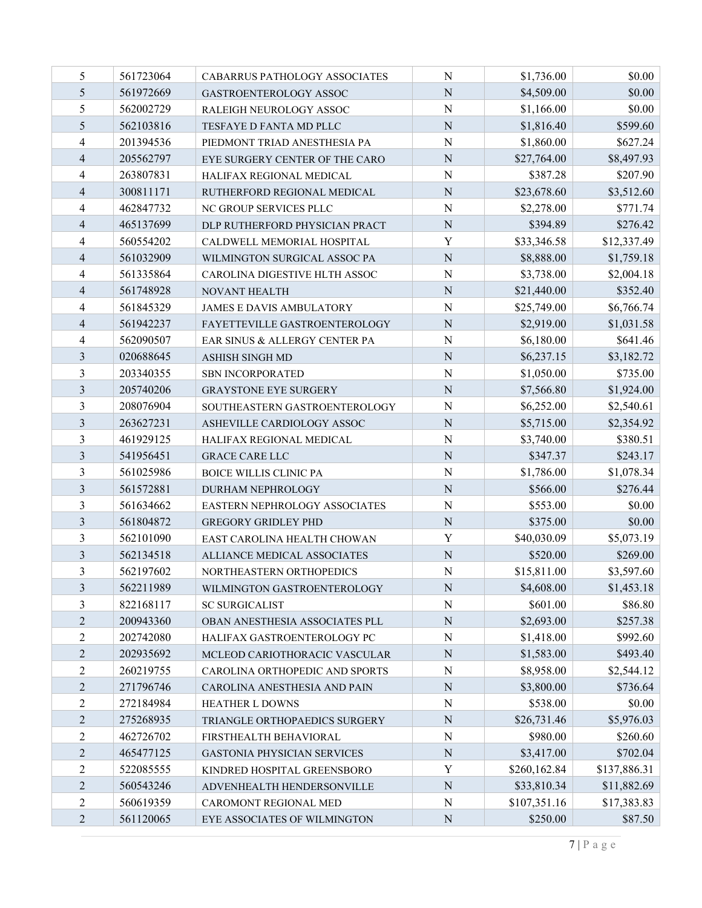| 5              | 561723064 | <b>CABARRUS PATHOLOGY ASSOCIATES</b> | N           | \$1,736.00   | \$0.00       |
|----------------|-----------|--------------------------------------|-------------|--------------|--------------|
| 5              | 561972669 | GASTROENTEROLOGY ASSOC               | ${\bf N}$   | \$4,509.00   | \$0.00       |
| 5              | 562002729 | RALEIGH NEUROLOGY ASSOC              | ${\bf N}$   | \$1,166.00   | \$0.00       |
| 5              | 562103816 | TESFAYE D FANTA MD PLLC              | $\mathbf N$ | \$1,816.40   | \$599.60     |
| 4              | 201394536 | PIEDMONT TRIAD ANESTHESIA PA         | N           | \$1,860.00   | \$627.24     |
| 4              | 205562797 | EYE SURGERY CENTER OF THE CARO       | $\mathbf N$ | \$27,764.00  | \$8,497.93   |
| 4              | 263807831 | HALIFAX REGIONAL MEDICAL             | N           | \$387.28     | \$207.90     |
| $\overline{4}$ | 300811171 | RUTHERFORD REGIONAL MEDICAL          | ${\bf N}$   | \$23,678.60  | \$3,512.60   |
| $\overline{4}$ | 462847732 | NC GROUP SERVICES PLLC               | N           | \$2,278.00   | \$771.74     |
| $\overline{4}$ | 465137699 | DLP RUTHERFORD PHYSICIAN PRACT       | $\mathbf N$ | \$394.89     | \$276.42     |
| 4              | 560554202 | CALDWELL MEMORIAL HOSPITAL           | Y           | \$33,346.58  | \$12,337.49  |
| $\overline{4}$ | 561032909 | WILMINGTON SURGICAL ASSOC PA         | $\mathbf N$ | \$8,888.00   | \$1,759.18   |
| 4              | 561335864 | CAROLINA DIGESTIVE HLTH ASSOC        | ${\bf N}$   | \$3,738.00   | \$2,004.18   |
| $\overline{4}$ | 561748928 | <b>NOVANT HEALTH</b>                 | $\mathbf N$ | \$21,440.00  | \$352.40     |
| 4              | 561845329 | <b>JAMES E DAVIS AMBULATORY</b>      | N           | \$25,749.00  | \$6,766.74   |
| $\overline{4}$ | 561942237 | FAYETTEVILLE GASTROENTEROLOGY        | ${\bf N}$   | \$2,919.00   | \$1,031.58   |
| $\overline{4}$ | 562090507 | EAR SINUS & ALLERGY CENTER PA        | N           | \$6,180.00   | \$641.46     |
| 3              | 020688645 | ASHISH SINGH MD                      | ${\bf N}$   | \$6,237.15   | \$3,182.72   |
| 3              | 203340355 | <b>SBN INCORPORATED</b>              | N           | \$1,050.00   | \$735.00     |
| 3              | 205740206 | <b>GRAYSTONE EYE SURGERY</b>         | N           | \$7,566.80   | \$1,924.00   |
| 3              | 208076904 | SOUTHEASTERN GASTROENTEROLOGY        | $\mathbf N$ | \$6,252.00   | \$2,540.61   |
| 3              | 263627231 | ASHEVILLE CARDIOLOGY ASSOC           | $\mathbf N$ | \$5,715.00   | \$2,354.92   |
| 3              | 461929125 | HALIFAX REGIONAL MEDICAL             | ${\bf N}$   | \$3,740.00   | \$380.51     |
| 3              | 541956451 | <b>GRACE CARE LLC</b>                | $\mathbf N$ | \$347.37     | \$243.17     |
| 3              | 561025986 | <b>BOICE WILLIS CLINIC PA</b>        | N           | \$1,786.00   | \$1,078.34   |
| $\mathfrak{Z}$ | 561572881 | DURHAM NEPHROLOGY                    | ${\bf N}$   | \$566.00     | \$276.44     |
| 3              | 561634662 | EASTERN NEPHROLOGY ASSOCIATES        | N           | \$553.00     | \$0.00       |
| 3              | 561804872 | <b>GREGORY GRIDLEY PHD</b>           | ${\bf N}$   | \$375.00     | \$0.00       |
| 3              | 562101090 | EAST CAROLINA HEALTH CHOWAN          | Y           | \$40,030.09  | \$5,073.19   |
| 3              | 562134518 | ALLIANCE MEDICAL ASSOCIATES          | $\mathbf N$ | \$520.00     | \$269.00     |
| 3              | 562197602 | NORTHEASTERN ORTHOPEDICS             | $\mathbf N$ | \$15,811.00  | \$3,597.60   |
| 3              | 562211989 | WILMINGTON GASTROENTEROLOGY          | ${\bf N}$   | \$4,608.00   | \$1,453.18   |
| 3              | 822168117 | <b>SC SURGICALIST</b>                | N           | \$601.00     | \$86.80      |
| $\overline{2}$ | 200943360 | OBAN ANESTHESIA ASSOCIATES PLL       | ${\bf N}$   | \$2,693.00   | \$257.38     |
| $\overline{c}$ | 202742080 | HALIFAX GASTROENTEROLOGY PC          | N           | \$1,418.00   | \$992.60     |
| $\overline{2}$ | 202935692 | MCLEOD CARIOTHORACIC VASCULAR        | ${\bf N}$   | \$1,583.00   | \$493.40     |
| $\sqrt{2}$     | 260219755 | CAROLINA ORTHOPEDIC AND SPORTS       | ${\bf N}$   | \$8,958.00   | \$2,544.12   |
| $\mathfrak{2}$ | 271796746 | CAROLINA ANESTHESIA AND PAIN         | $\mathbf N$ | \$3,800.00   | \$736.64     |
| $\mathfrak{2}$ | 272184984 | <b>HEATHER L DOWNS</b>               | ${\bf N}$   | \$538.00     | \$0.00       |
| $\sqrt{2}$     | 275268935 | TRIANGLE ORTHOPAEDICS SURGERY        | N           | \$26,731.46  | \$5,976.03   |
| $\overline{2}$ | 462726702 | FIRSTHEALTH BEHAVIORAL               | $\mathbf N$ | \$980.00     | \$260.60     |
| $\overline{2}$ | 465477125 | GASTONIA PHYSICIAN SERVICES          | ${\bf N}$   | \$3,417.00   | \$702.04     |
| $\overline{2}$ | 522085555 | KINDRED HOSPITAL GREENSBORO          | Y           | \$260,162.84 | \$137,886.31 |
| $\overline{2}$ | 560543246 | ADVENHEALTH HENDERSONVILLE           | ${\bf N}$   | \$33,810.34  | \$11,882.69  |
| $\overline{2}$ | 560619359 | CAROMONT REGIONAL MED                | N           | \$107,351.16 | \$17,383.83  |
| $\overline{2}$ | 561120065 | EYE ASSOCIATES OF WILMINGTON         | ${\bf N}$   | \$250.00     | \$87.50      |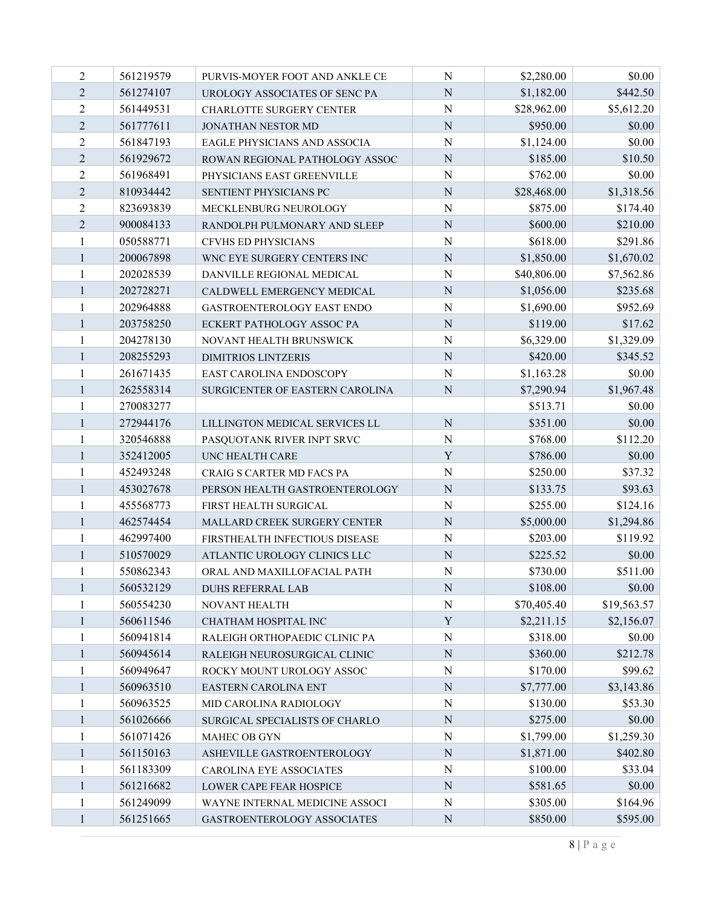| $\overline{2}$ | 561219579 | PURVIS-MOYER FOOT AND ANKLE CE    | N              | \$2,280.00  | \$0.00      |
|----------------|-----------|-----------------------------------|----------------|-------------|-------------|
| $\overline{2}$ | 561274107 | UROLOGY ASSOCIATES OF SENC PA     | $\mathbf N$    | \$1,182.00  | \$442.50    |
| 2              | 561449531 | <b>CHARLOTTE SURGERY CENTER</b>   | $\mathbf N$    | \$28,962.00 | \$5,612.20  |
| $\overline{2}$ | 561777611 | JONATHAN NESTOR MD                | $\overline{N}$ | \$950.00    | \$0.00      |
| $\overline{2}$ | 561847193 | EAGLE PHYSICIANS AND ASSOCIA      | N              | \$1,124.00  | \$0.00      |
| $\overline{2}$ | 561929672 | ROWAN REGIONAL PATHOLOGY ASSOC    | $\mathbf N$    | \$185.00    | \$10.50     |
| $\overline{c}$ | 561968491 | PHYSICIANS EAST GREENVILLE        | N              | \$762.00    | \$0.00      |
| $\overline{2}$ | 810934442 | SENTIENT PHYSICIANS PC            | $\mathbf N$    | \$28,468.00 | \$1,318.56  |
| $\overline{2}$ | 823693839 | MECKLENBURG NEUROLOGY             | $\mathbf N$    | \$875.00    | \$174.40    |
| $\overline{2}$ | 900084133 | RANDOLPH PULMONARY AND SLEEP      | $\mathbf N$    | \$600.00    | \$210.00    |
| 1              | 050588771 | CFVHS ED PHYSICIANS               | $\mathbf N$    | \$618.00    | \$291.86    |
| $\mathbf{1}$   | 200067898 | WNC EYE SURGERY CENTERS INC       | $\mathbf N$    | \$1,850.00  | \$1,670.02  |
|                | 202028539 | DANVILLE REGIONAL MEDICAL         | $\mathbf N$    | \$40,806.00 | \$7,562.86  |
| $\mathbf{1}$   | 202728271 | CALDWELL EMERGENCY MEDICAL        | $\overline{N}$ | \$1,056.00  | \$235.68    |
|                | 202964888 | <b>GASTROENTEROLOGY EAST ENDO</b> | N              | \$1,690.00  | \$952.69    |
| $\mathbf{1}$   | 203758250 | <b>ECKERT PATHOLOGY ASSOC PA</b>  | $\mathbf N$    | \$119.00    | \$17.62     |
| 1              | 204278130 | NOVANT HEALTH BRUNSWICK           | N              | \$6,329.00  | \$1,329.09  |
| 1              | 208255293 | <b>DIMITRIOS LINTZERIS</b>        | $\mathbf N$    | \$420.00    | \$345.52    |
| 1              | 261671435 | EAST CAROLINA ENDOSCOPY           | N              | \$1,163.28  | \$0.00      |
| 1              | 262558314 | SURGICENTER OF EASTERN CAROLINA   | $\mathbf N$    | \$7,290.94  | \$1,967.48  |
| 1              | 270083277 |                                   |                | \$513.71    | \$0.00      |
| $\mathbf{1}$   | 272944176 | LILLINGTON MEDICAL SERVICES LL    | $\mathbf N$    | \$351.00    | \$0.00      |
|                | 320546888 | PASQUOTANK RIVER INPT SRVC        | $\mathbf N$    | \$768.00    | \$112.20    |
| $\mathbf{1}$   | 352412005 | UNC HEALTH CARE                   | Y              | \$786.00    | \$0.00      |
|                | 452493248 | CRAIG S CARTER MD FACS PA         | N              | \$250.00    | \$37.32     |
| $\mathbf{1}$   | 453027678 | PERSON HEALTH GASTROENTEROLOGY    | $\mathbf N$    | \$133.75    | \$93.63     |
| 1              | 455568773 | FIRST HEALTH SURGICAL             | $\mathbf N$    | \$255.00    | \$124.16    |
| 1              | 462574454 | MALLARD CREEK SURGERY CENTER      | $\mathbf N$    | \$5,000.00  | \$1,294.86  |
| 1              | 462997400 | FIRSTHEALTH INFECTIOUS DISEASE    | N              | \$203.00    | \$119.92    |
| 1              | 510570029 | ATLANTIC UROLOGY CLINICS LLC      | $\mathbf N$    | \$225.52    | \$0.00      |
| $\mathbf{1}$   | 550862343 | ORAL AND MAXILLOFACIAL PATH       | $\mathbf N$    | \$730.00    | \$511.00    |
| $\mathbf{1}$   | 560532129 | DUHS REFERRAL LAB                 | $\mathbf N$    | \$108.00    | \$0.00      |
| 1              | 560554230 | NOVANT HEALTH                     | ${\bf N}$      | \$70,405.40 | \$19,563.57 |
| $\mathbf{1}$   | 560611546 | CHATHAM HOSPITAL INC              | $\mathbf Y$    | \$2,211.15  | \$2,156.07  |
| 1              | 560941814 | RALEIGH ORTHOPAEDIC CLINIC PA     | N              | \$318.00    | \$0.00      |
| $\mathbf{1}$   | 560945614 | RALEIGH NEUROSURGICAL CLINIC      | $\mathbf N$    | \$360.00    | \$212.78    |
| 1              | 560949647 | ROCKY MOUNT UROLOGY ASSOC         | $\mathbf N$    | \$170.00    | \$99.62     |
| $\mathbf{I}$   | 560963510 | <b>EASTERN CAROLINA ENT</b>       | $\mathbf N$    | \$7,777.00  | \$3,143.86  |
| 1              | 560963525 | MID CAROLINA RADIOLOGY            | $\mathbf N$    | \$130.00    | \$53.30     |
| $\mathbf{1}$   | 561026666 | SURGICAL SPECIALISTS OF CHARLO    | N              | \$275.00    | \$0.00      |
| 1              | 561071426 | MAHEC OB GYN                      | $\mathbf N$    | \$1,799.00  | \$1,259.30  |
| $\mathbf{1}$   | 561150163 | ASHEVILLE GASTROENTEROLOGY        | $\mathbf N$    | \$1,871.00  | \$402.80    |
| 1              | 561183309 | CAROLINA EYE ASSOCIATES           | N              | \$100.00    | \$33.04     |
| $\mathbf{1}$   | 561216682 | LOWER CAPE FEAR HOSPICE           | ${\bf N}$      | \$581.65    | \$0.00      |
| 1              | 561249099 | WAYNE INTERNAL MEDICINE ASSOCI    | N              | \$305.00    | \$164.96    |
| $\mathbf{1}$   | 561251665 | GASTROENTEROLOGY ASSOCIATES       | ${\bf N}$      | \$850.00    | \$595.00    |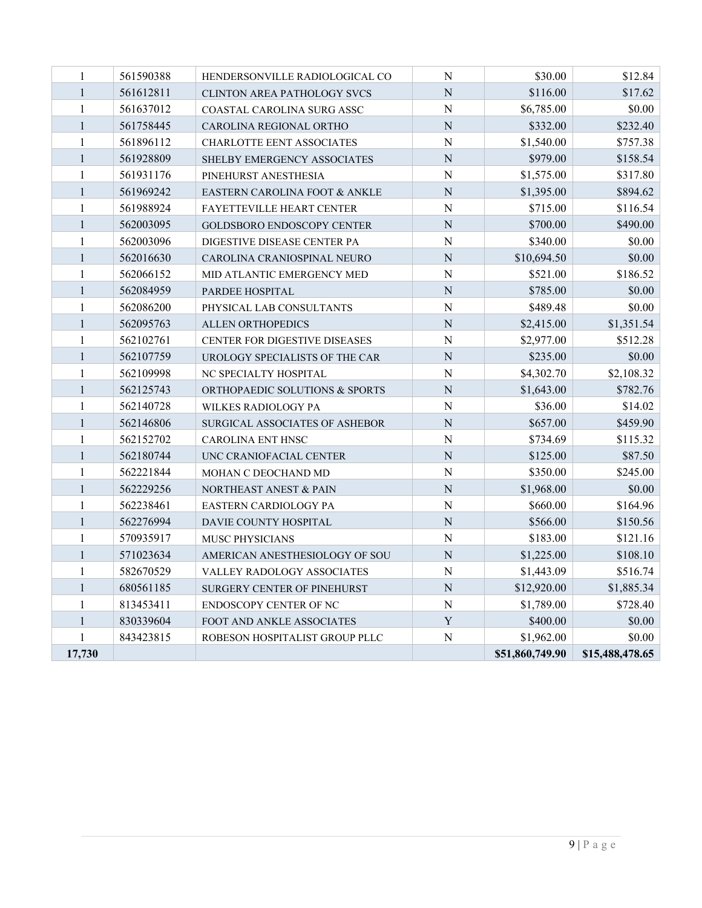| 17,730                       |                        |                                                         |                        | \$51,860,749.90        | \$15,488,478.65    |
|------------------------------|------------------------|---------------------------------------------------------|------------------------|------------------------|--------------------|
| 1                            | 843423815              | ROBESON HOSPITALIST GROUP PLLC                          | ${\bf N}$              | \$1,962.00             | \$0.00             |
| $\mathbf{1}$                 | 830339604              | FOOT AND ANKLE ASSOCIATES                               | Y                      | \$400.00               | \$0.00             |
| $\mathbf{1}$                 | 813453411              | ENDOSCOPY CENTER OF NC                                  | ${\bf N}$              | \$1,789.00             | \$728.40           |
| $\mathbf{1}$                 | 680561185              | SURGERY CENTER OF PINEHURST                             | $\mathbf N$            | \$12,920.00            | \$1,885.34         |
| $\mathbf{1}$                 | 582670529              | VALLEY RADOLOGY ASSOCIATES                              | ${\bf N}$              | \$1,443.09             | \$516.74           |
| $\mathbf{1}$                 | 571023634              | AMERICAN ANESTHESIOLOGY OF SOU                          | ${\bf N}$              | \$1,225.00             | \$108.10           |
| 1                            | 570935917              | MUSC PHYSICIANS                                         | ${\bf N}$              | \$183.00               | \$121.16           |
| 1                            | 562276994              | DAVIE COUNTY HOSPITAL                                   | $\mathbf N$            | \$566.00               | \$150.56           |
| $\mathbf{1}$                 | 562238461              | EASTERN CARDIOLOGY PA                                   | ${\bf N}$              | \$660.00               | \$164.96           |
| $\mathbf{1}$                 | 562229256              | NORTHEAST ANEST & PAIN                                  | $\mathbf N$            | \$1,968.00             | \$0.00             |
| 1                            | 562221844              | MOHAN C DEOCHAND MD                                     | ${\bf N}$              | \$350.00               | \$245.00           |
| $\mathbf{1}$                 | 562180744              | UNC CRANIOFACIAL CENTER                                 | $\overline{N}$         | \$125.00               | \$87.50            |
| 1                            | 562152702              | <b>CAROLINA ENT HNSC</b>                                | $\overline{N}$         | \$734.69               | \$115.32           |
| $\mathbf{1}$                 | 562146806              | SURGICAL ASSOCIATES OF ASHEBOR                          | $\overline{N}$         | \$657.00               | \$459.90           |
| $\mathbf{1}$                 | 562140728              | WILKES RADIOLOGY PA                                     | ${\bf N}$              | \$36.00                | \$14.02            |
| $\mathbf{1}$                 | 562125743              | NC SPECIALTY HOSPITAL<br>ORTHOPAEDIC SOLUTIONS & SPORTS | $\overline{N}$         | \$1,643.00             | \$782.76           |
| 1                            | 562109998              | UROLOGY SPECIALISTS OF THE CAR                          | $\mathbf N$            | \$4,302.70             | \$2,108.32         |
| $\mathbf{1}$<br>$\mathbf{1}$ | 562102761<br>562107759 | CENTER FOR DIGESTIVE DISEASES                           | ${\bf N}$              | \$2,977.00<br>\$235.00 | \$512.28<br>\$0.00 |
| $\mathbf{1}$                 | 562095763              | <b>ALLEN ORTHOPEDICS</b>                                | ${\bf N}$              | \$2,415.00             | \$1,351.54         |
| 1                            | 562086200              | PHYSICAL LAB CONSULTANTS                                | ${\bf N}$<br>${\bf N}$ | \$489.48               | \$0.00             |
| 1                            | 562084959              | PARDEE HOSPITAL                                         | $\mathbf N$            | \$785.00               | \$0.00             |
| 1                            | 562066152              | MID ATLANTIC EMERGENCY MED                              | ${\bf N}$              | \$521.00               | \$186.52           |
| $\mathbf{1}$                 | 562016630              | CAROLINA CRANIOSPINAL NEURO                             | $\overline{N}$         | \$10,694.50            | \$0.00             |
| 1                            | 562003096              | DIGESTIVE DISEASE CENTER PA                             | ${\bf N}$              | \$340.00               | \$0.00             |
| $\mathbf{1}$                 | 562003095              | GOLDSBORO ENDOSCOPY CENTER                              | $\overline{N}$         | \$700.00               | \$490.00           |
| $\mathbf{1}$                 | 561988924              | FAYETTEVILLE HEART CENTER                               | $\overline{N}$         | \$715.00               | \$116.54           |
| $\mathbf{1}$                 | 561969242              | EASTERN CAROLINA FOOT & ANKLE                           | $\overline{N}$         | \$1,395.00             | \$894.62           |
| $\mathbf{1}$                 | 561931176              | PINEHURST ANESTHESIA                                    | ${\bf N}$              | \$1,575.00             | \$317.80           |
| $\mathbf{1}$                 | 561928809              | SHELBY EMERGENCY ASSOCIATES                             | $\mathbf N$            | \$979.00               | \$158.54           |
| $\mathbf{1}$                 | 561896112              | CHARLOTTE EENT ASSOCIATES                               | ${\bf N}$              | \$1,540.00             | \$757.38           |
| $\mathbf{1}$                 | 561758445              | CAROLINA REGIONAL ORTHO                                 | $\mathbf N$            | \$332.00               | \$232.40           |
| 1                            | 561637012              | COASTAL CAROLINA SURG ASSC                              | $\mathbf N$            | \$6,785.00             | \$0.00             |
| $\mathbf{1}$                 | 561612811              | CLINTON AREA PATHOLOGY SVCS                             | $\mathbf N$            | \$116.00               | \$17.62            |
| $\mathbf{1}$                 | 561590388              | HENDERSONVILLE RADIOLOGICAL CO                          | N                      | \$30.00                | \$12.84            |
|                              |                        |                                                         |                        |                        |                    |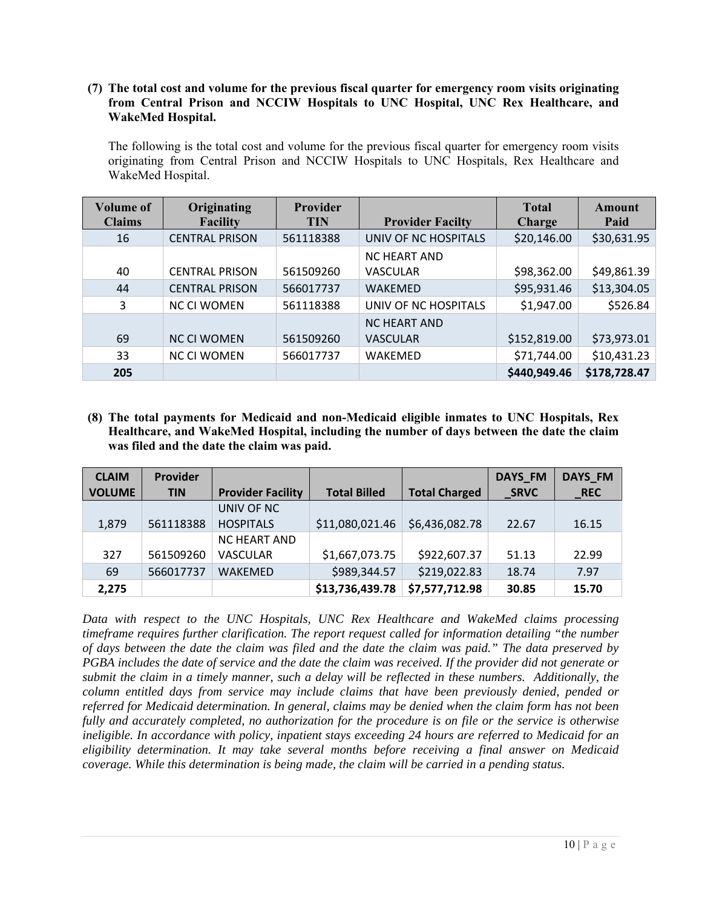#### **(7) The total cost and volume for the previous fiscal quarter for emergency room visits originating from Central Prison and NCCIW Hospitals to UNC Hospital, UNC Rex Healthcare, and WakeMed Hospital.**

The following is the total cost and volume for the previous fiscal quarter for emergency room visits originating from Central Prison and NCCIW Hospitals to UNC Hospitals, Rex Healthcare and WakeMed Hospital.

| <b>Volume of</b><br><b>Claims</b> | Originating<br><b>Facility</b> | <b>Provider</b><br><b>TIN</b> | <b>Provider Facilty</b>                | <b>Total</b><br><b>Charge</b> | Amount<br>Paid |
|-----------------------------------|--------------------------------|-------------------------------|----------------------------------------|-------------------------------|----------------|
| 16                                | <b>CENTRAL PRISON</b>          | 561118388                     | UNIV OF NC HOSPITALS                   | \$20,146.00                   | \$30,631.95    |
| 40                                | <b>CENTRAL PRISON</b>          | 561509260                     | <b>NC HEART AND</b><br><b>VASCULAR</b> | \$98,362.00                   | \$49,861.39    |
| 44                                | <b>CENTRAL PRISON</b>          | 566017737                     | <b>WAKEMED</b>                         | \$95,931.46                   | \$13,304.05    |
| 3                                 | <b>NCCI WOMEN</b>              | 561118388                     | UNIV OF NC HOSPITALS                   | \$1,947.00                    | \$526.84       |
| 69                                | <b>NCCI WOMEN</b>              | 561509260                     | <b>NC HEART AND</b><br><b>VASCULAR</b> | \$152,819.00                  | \$73,973.01    |
| 33                                | <b>NCCI WOMEN</b>              | 566017737                     | <b>WAKEMED</b>                         | \$71,744.00                   | \$10,431.23    |
| 205                               |                                |                               |                                        | \$440,949.46                  | \$178,728.47   |

**(8) The total payments for Medicaid and non-Medicaid eligible inmates to UNC Hospitals, Rex Healthcare, and WakeMed Hospital, including the number of days between the date the claim was filed and the date the claim was paid.**

| <b>CLAIM</b>  | <b>Provider</b> |                          |                     |                      | <b>DAYS FM</b> | <b>DAYS FM</b> |
|---------------|-----------------|--------------------------|---------------------|----------------------|----------------|----------------|
| <b>VOLUME</b> | <b>TIN</b>      | <b>Provider Facility</b> | <b>Total Billed</b> | <b>Total Charged</b> | <b>SRVC</b>    | RC             |
|               |                 | UNIV OF NC               |                     |                      |                |                |
| 1,879         | 561118388       | <b>HOSPITALS</b>         | \$11,080,021.46     | \$6,436,082.78       | 22.67          | 16.15          |
|               |                 | <b>NC HEART AND</b>      |                     |                      |                |                |
| 327           | 561509260       | <b>VASCULAR</b>          | \$1,667,073.75      | \$922,607.37         | 51.13          | 22.99          |
| 69            | 566017737       | <b>WAKEMED</b>           | \$989,344.57        | \$219,022.83         | 18.74          | 7.97           |
| 2,275         |                 |                          | \$13,736,439.78     | \$7,577,712.98       | 30.85          | 15.70          |

*Data with respect to the UNC Hospitals, UNC Rex Healthcare and WakeMed claims processing timeframe requires further clarification. The report request called for information detailing "the number of days between the date the claim was filed and the date the claim was paid." The data preserved by PGBA includes the date of service and the date the claim was received. If the provider did not generate or submit the claim in a timely manner, such a delay will be reflected in these numbers. Additionally, the column entitled days from service may include claims that have been previously denied, pended or referred for Medicaid determination. In general, claims may be denied when the claim form has not been fully and accurately completed, no authorization for the procedure is on file or the service is otherwise ineligible. In accordance with policy, inpatient stays exceeding 24 hours are referred to Medicaid for an eligibility determination. It may take several months before receiving a final answer on Medicaid coverage. While this determination is being made, the claim will be carried in a pending status.*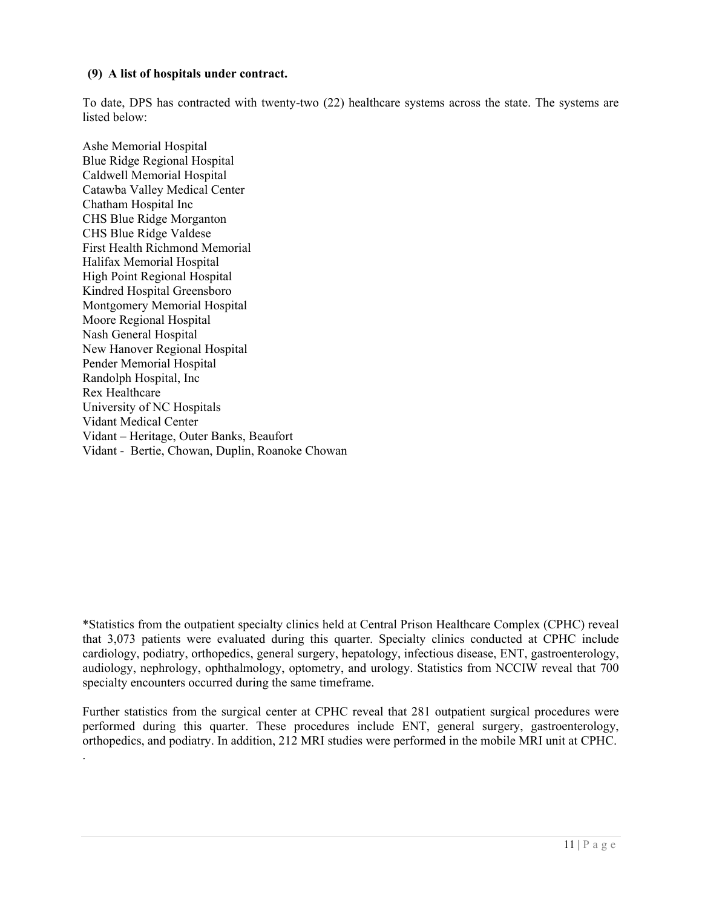#### **(9) A list of hospitals under contract.**

To date, DPS has contracted with twenty-two (22) healthcare systems across the state. The systems are listed below:

Ashe Memorial Hospital Blue Ridge Regional Hospital Caldwell Memorial Hospital Catawba Valley Medical Center Chatham Hospital Inc CHS Blue Ridge Morganton CHS Blue Ridge Valdese First Health Richmond Memorial Halifax Memorial Hospital High Point Regional Hospital Kindred Hospital Greensboro Montgomery Memorial Hospital Moore Regional Hospital Nash General Hospital New Hanover Regional Hospital Pender Memorial Hospital Randolph Hospital, Inc Rex Healthcare University of NC Hospitals Vidant Medical Center Vidant – Heritage, Outer Banks, Beaufort Vidant - Bertie, Chowan, Duplin, Roanoke Chowan

.

\*Statistics from the outpatient specialty clinics held at Central Prison Healthcare Complex (CPHC) reveal that 3,073 patients were evaluated during this quarter. Specialty clinics conducted at CPHC include cardiology, podiatry, orthopedics, general surgery, hepatology, infectious disease, ENT, gastroenterology, audiology, nephrology, ophthalmology, optometry, and urology. Statistics from NCCIW reveal that 700 specialty encounters occurred during the same timeframe.

Further statistics from the surgical center at CPHC reveal that 281 outpatient surgical procedures were performed during this quarter. These procedures include ENT, general surgery, gastroenterology, orthopedics, and podiatry. In addition, 212 MRI studies were performed in the mobile MRI unit at CPHC.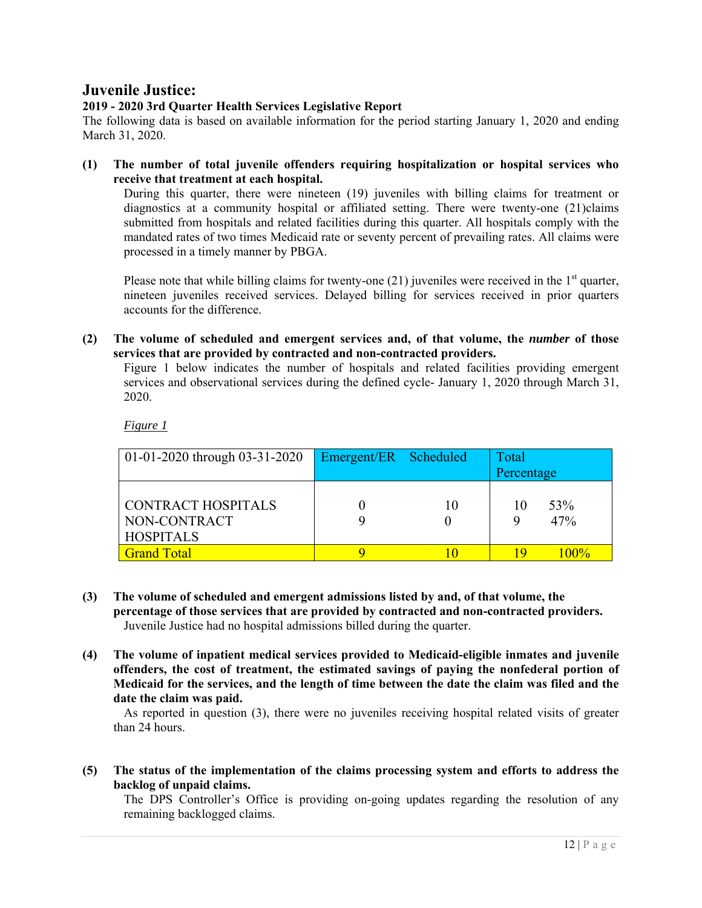## **Juvenile Justice:**

#### **2019 - 2020 3rd Quarter Health Services Legislative Report**

The following data is based on available information for the period starting January 1, 2020 and ending March 31, 2020.

**(1) The number of total juvenile offenders requiring hospitalization or hospital services who receive that treatment at each hospital.** 

During this quarter, there were nineteen (19) juveniles with billing claims for treatment or diagnostics at a community hospital or affiliated setting. There were twenty-one (21)claims submitted from hospitals and related facilities during this quarter. All hospitals comply with the mandated rates of two times Medicaid rate or seventy percent of prevailing rates. All claims were processed in a timely manner by PBGA.

Please note that while billing claims for twenty-one  $(21)$  juveniles were received in the  $1<sup>st</sup>$  quarter, nineteen juveniles received services. Delayed billing for services received in prior quarters accounts for the difference.

**(2) The volume of scheduled and emergent services and, of that volume, the** *number* **of those services that are provided by contracted and non-contracted providers.** 

Figure 1 below indicates the number of hospitals and related facilities providing emergent services and observational services during the defined cycle- January 1, 2020 through March 31, 2020.

*Figure 1* 

| $01-01-2020$ through $03-31-2020$ | Emergent/ER Scheduled |    | Total      |
|-----------------------------------|-----------------------|----|------------|
|                                   |                       |    | Percentage |
|                                   |                       |    |            |
| <b>CONTRACT HOSPITALS</b>         |                       | 10 | 53%<br>10  |
| NON-CONTRACT                      |                       |    | 47%        |
| <b>HOSPITALS</b>                  |                       |    |            |
| <b>Grand Total</b>                |                       |    | $100\%$    |

- **(3) The volume of scheduled and emergent admissions listed by and, of that volume, the percentage of those services that are provided by contracted and non-contracted providers.**  Juvenile Justice had no hospital admissions billed during the quarter.
- **(4) The volume of inpatient medical services provided to Medicaid-eligible inmates and juvenile offenders, the cost of treatment, the estimated savings of paying the nonfederal portion of Medicaid for the services, and the length of time between the date the claim was filed and the date the claim was paid.**

As reported in question (3), there were no juveniles receiving hospital related visits of greater than 24 hours.

**(5) The status of the implementation of the claims processing system and efforts to address the backlog of unpaid claims.** 

The DPS Controller's Office is providing on-going updates regarding the resolution of any remaining backlogged claims.